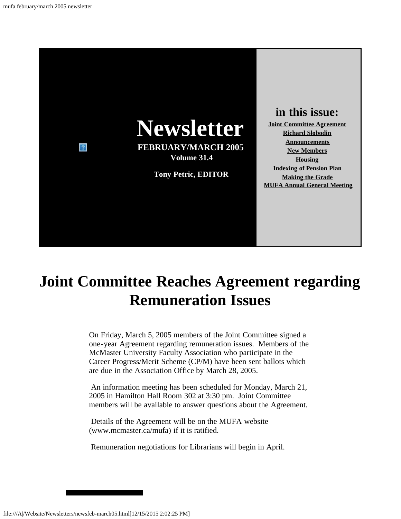

# <span id="page-0-0"></span>**Joint Committee Reaches Agreement regarding Remuneration Issues**

On Friday, March 5, 2005 members of the Joint Committee signed a one-year Agreement regarding remuneration issues. Members of the McMaster University Faculty Association who participate in the Career Progress/Merit Scheme (CP/M) have been sent ballots which are due in the Association Office by March 28, 2005.

An information meeting has been scheduled for Monday, March 21, 2005 in Hamilton Hall Room 302 at 3:30 pm. Joint Committee members will be available to answer questions about the Agreement.

Details of the Agreement will be on the MUFA website (www.mcmaster.ca/mufa) if it is ratified.

<span id="page-0-1"></span>Remuneration negotiations for Librarians will begin in April.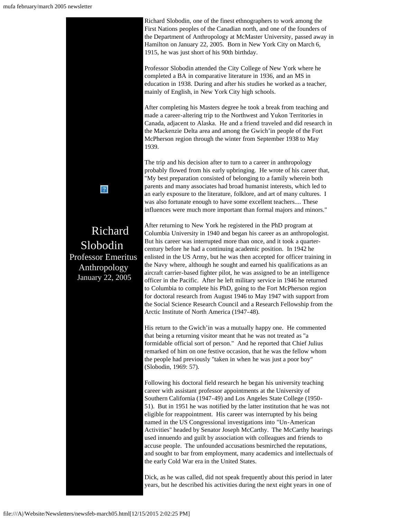

Richard Slobodin, one of the finest ethnographers to work among the First Nations peoples of the Canadian north, and one of the founders of the Department of Anthropology at McMaster University, passed away in Hamilton on January 22, 2005. Born in New York City on March 6, 1915, he was just short of his 90th birthday.

Professor Slobodin attended the City College of New York where he completed a BA in comparative literature in 1936, and an MS in education in 1938. During and after his studies he worked as a teacher, mainly of English, in New York City high schools.

After completing his Masters degree he took a break from teaching and made a career-altering trip to the Northwest and Yukon Territories in Canada, adjacent to Alaska. He and a friend traveled and did research in the Mackenzie Delta area and among the Gwich'in people of the Fort McPherson region through the winter from September 1938 to May

The trip and his decision after to turn to a career in anthropology probably flowed from his early upbringing. He wrote of his career that, "My best preparation consisted of belonging to a family wherein both parents and many associates had broad humanist interests, which led to an early exposure to the literature, folklore, and art of many cultures. I was also fortunate enough to have some excellent teachers.... These influences were much more important than formal majors and minors."

After returning to New York he registered in the PhD program at Columbia University in 1940 and began his career as an anthropologist. But his career was interrupted more than once, and it took a quartercentury before he had a continuing academic position. In 1942 he enlisted in the US Army, but he was then accepted for officer training in the Navy where, although he sought and earned his qualifications as an aircraft carrier-based fighter pilot, he was assigned to be an intelligence officer in the Pacific. After he left military service in 1946 he returned to Columbia to complete his PhD, going to the Fort McPherson region for doctoral research from August 1946 to May 1947 with support from the Social Science Research Council and a Research Fellowship from the Arctic Institute of North America (1947-48).

His return to the Gwich'in was a mutually happy one. He commented that being a returning visitor meant that he was not treated as "a formidable official sort of person." And he reported that Chief Julius remarked of him on one festive occasion, that he was the fellow whom the people had previously "taken in when he was just a poor boy" (Slobodin, 1969: 57).

Following his doctoral field research he began his university teaching career with assistant professor appointments at the University of Southern California (1947-49) and Los Angeles State College (1950- 51). But in 1951 he was notified by the latter institution that he was not eligible for reappointment. His career was interrupted by his being named in the US Congressional investigations into "Un-American Activities" headed by Senator Joseph McCarthy. The McCarthy hearings used innuendo and guilt by association with colleagues and friends to accuse people. The unfounded accusations besmirched the reputations, and sought to bar from employment, many academics and intellectuals of the early Cold War era in the United States.

Dick, as he was called, did not speak frequently about this period in later years, but he described his activities during the next eight years in one of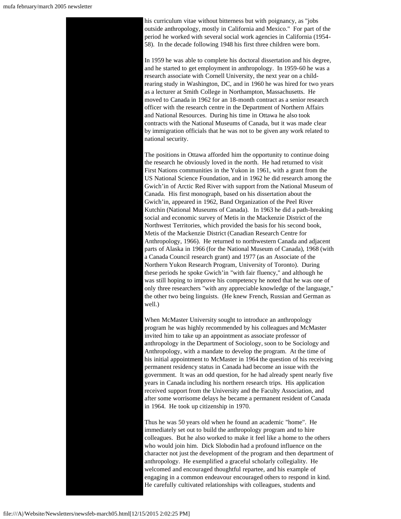his curriculum vitae without bitterness but with poignancy, as "jobs outside anthropology, mostly in California and Mexico." For part of the period he worked with several social work agencies in California (1954- 58). In the decade following 1948 his first three children were born.

In 1959 he was able to complete his doctoral dissertation and his degree, and he started to get employment in anthropology. In 1959-60 he was a research associate with Cornell University, the next year on a childrearing study in Washington, DC, and in 1960 he was hired for two years as a lecturer at Smith College in Northampton, Massachusetts. He moved to Canada in 1962 for an 18-month contract as a senior research officer with the research centre in the Department of Northern Affairs and National Resources. During his time in Ottawa he also took contracts with the National Museums of Canada, but it was made clear by immigration officials that he was not to be given any work related to national security.

The positions in Ottawa afforded him the opportunity to continue doing the research he obviously loved in the north. He had returned to visit First Nations communities in the Yukon in 1961, with a grant from the US National Science Foundation, and in 1962 he did research among the Gwich'in of Arctic Red River with support from the National Museum of Canada. His first monograph, based on his dissertation about the Gwich'in, appeared in 1962, Band Organization of the Peel River Kutchin (National Museums of Canada). In 1963 he did a path-breaking social and economic survey of Metis in the Mackenzie District of the Northwest Territories, which provided the basis for his second book, Metis of the Mackenzie District (Canadian Research Centre for Anthropology, 1966). He returned to northwestern Canada and adjacent parts of Alaska in 1966 (for the National Museum of Canada), 1968 (with a Canada Council research grant) and 1977 (as an Associate of the Northern Yukon Research Program, University of Toronto). During these periods he spoke Gwich'in "with fair fluency," and although he was still hoping to improve his competency he noted that he was one of only three researchers "with any appreciable knowledge of the language," the other two being linguists. (He knew French, Russian and German as well.)

When McMaster University sought to introduce an anthropology program he was highly recommended by his colleagues and McMaster invited him to take up an appointment as associate professor of anthropology in the Department of Sociology, soon to be Sociology and Anthropology, with a mandate to develop the program. At the time of his initial appointment to McMaster in 1964 the question of his receiving permanent residency status in Canada had become an issue with the government. It was an odd question, for he had already spent nearly five years in Canada including his northern research trips. His application received support from the University and the Faculty Association, and after some worrisome delays he became a permanent resident of Canada in 1964. He took up citizenship in 1970.

Thus he was 50 years old when he found an academic "home". He immediately set out to build the anthropology program and to hire colleagues. But he also worked to make it feel like a home to the others who would join him. Dick Slobodin had a profound influence on the character not just the development of the program and then department of anthropology. He exemplified a graceful scholarly collegiality. He welcomed and encouraged thoughtful repartee, and his example of engaging in a common endeavour encouraged others to respond in kind. He carefully cultivated relationships with colleagues, students and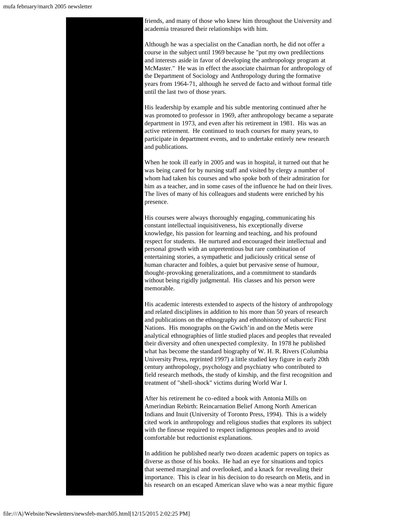friends, and many of those who knew him throughout the University and academia treasured their relationships with him.

Although he was a specialist on the Canadian north, he did not offer a course in the subject until 1969 because he "put my own predilections and interests aside in favor of developing the anthropology program at McMaster." He was in effect the associate chairman for anthropology of the Department of Sociology and Anthropology during the formative years from 1964-71, although he served de facto and without formal title until the last two of those years.

His leadership by example and his subtle mentoring continued after he was promoted to professor in 1969, after anthropology became a separate department in 1973, and even after his retirement in 1981. His was an active retirement. He continued to teach courses for many years, to participate in department events, and to undertake entirely new research and publications.

When he took ill early in 2005 and was in hospital, it turned out that he was being cared for by nursing staff and visited by clergy a number of whom had taken his courses and who spoke both of their admiration for him as a teacher, and in some cases of the influence he had on their lives. The lives of many of his colleagues and students were enriched by his presence.

His courses were always thoroughly engaging, communicating his constant intellectual inquisitiveness, his exceptionally diverse knowledge, his passion for learning and teaching, and his profound respect for students. He nurtured and encouraged their intellectual and personal growth with an unpretentious but rare combination of entertaining stories, a sympathetic and judiciously critical sense of human character and foibles, a quiet but pervasive sense of humour, thought-provoking generalizations, and a commitment to standards without being rigidly judgmental. His classes and his person were memorable.

His academic interests extended to aspects of the history of anthropology and related disciplines in addition to his more than 50 years of research and publications on the ethnography and ethnohistory of subarctic First Nations. His monographs on the Gwich'in and on the Metis were analytical ethnographies of little studied places and peoples that revealed their diversity and often unexpected complexity. In 1978 he published what has become the standard biography of W. H. R. Rivers (Columbia University Press, reprinted 1997) a little studied key figure in early 20th century anthropology, psychology and psychiatry who contributed to field research methods, the study of kinship, and the first recognition and treatment of "shell-shock" victims during World War I.

After his retirement he co-edited a book with Antonia Mills on Amerindian Rebirth: Reincarnation Belief Among North American Indians and Inuit (University of Toronto Press, 1994). This is a widely cited work in anthropology and religious studies that explores its subject with the finesse required to respect indigenous peoples and to avoid comfortable but reductionist explanations.

In addition he published nearly two dozen academic papers on topics as diverse as those of his books. He had an eye for situations and topics that seemed marginal and overlooked, and a knack for revealing their importance. This is clear in his decision to do research on Metis, and in his research on an escaped American slave who was a near mythic figure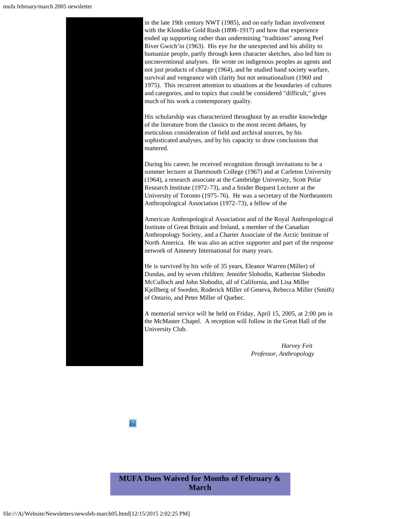in the late 19th century NWT (1985), and on early Indian involvement with the Klondike Gold Rush (1898-1917) and how that experience ended up supporting rather than undermining "traditions" among Peel River Gwich'in (1963). His eye for the unexpected and his ability to humanize people, partly through keen character sketches, also led him to unconventional analyses. He wrote on indigenous peoples as agents and not just products of change (1964), and he studied band society warfare, survival and vengeance with clarity but not sensationalism (1960 and 1975). This recurrent attention to situations at the boundaries of cultures and categories, and to topics that could be considered "difficult," gives much of his work a contemporary quality.

His scholarship was characterized throughout by an erudite knowledge of the literature from the classics to the most recent debates, by meticulous consideration of field and archival sources, by his sophisticated analyses, and by his capacity to draw conclusions that mattered.

During his career, he received recognition through invitations to be a summer lecturer at Dartmouth College (1967) and at Carleton University (1964), a research associate at the Cambridge University, Scott Polar Research Institute (1972-73), and a Snider Bequest Lecturer at the University of Toronto (1975-76). He was a secretary of the Northeastern Anthropological Association (1972-73), a fellow of the

American Anthropological Association and of the Royal Anthropological Institute of Great Britain and Ireland, a member of the Canadian Anthropology Society, and a Charter Associate of the Arctic Institute of North America. He was also an active supporter and part of the response network of Amnesty International for many years.

He is survived by his wife of 35 years, Eleanor Warren (Miller) of Dundas, and by seven children: Jennifer Slobodin, Katherine Slobodin McCulloch and John Slobodin, all of California, and Lisa Miller Kjellberg of Sweden, Roderick Miller of Geneva, Rebecca Miller (Smith) of Ontario, and Peter Miller of Quebec.

A memorial service will be held on Friday, April 15, 2005, at 2:00 pm in the McMaster Chapel. A reception will follow in the Great Hall of the University Club.

> *Harvey Feit Professor, Anthropology*

 $|2|$ 

<span id="page-4-0"></span>**MUFA Dues Waived for Months of February & March**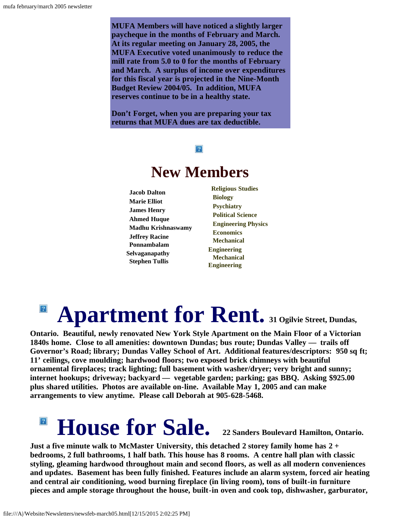**MUFA Members will have noticed a slightly larger paycheque in the months of February and March. At its regular meeting on January 28, 2005, the MUFA Executive voted unanimously to reduce the mill rate from 5.0 to 0 for the months of February and March. A surplus of income over expenditures for this fiscal year is projected in the Nine-Month Budget Review 2004/05. In addition, MUFA reserves continue to be in a healthy state.**

<span id="page-5-0"></span>**Don't Forget, when you are preparing your tax returns that MUFA dues are tax deductible.**

### $|2|$

## **New Members**

**Jacob Dalton Marie Elliot James Henry Ahmed Huque Madhu Krishnaswamy Jeffrey Racine Ponnambalam Selvaganapathy Stephen Tullis**

**Religious Studies Biology Psychiatry Political Science Engineering Physics Economics Mechanical Engineering Mechanical Engineering**

## $|{\mathcal{D}}|$ **Apartment for Rent. 31 Ogilvie Street, Dundas,**

<span id="page-5-1"></span>**Ontario. Beautiful, newly renovated New York Style Apartment on the Main Floor of a Victorian 1840s home. Close to all amenities: downtown Dundas; bus route; Dundas Valley — trails off Governor's Road; library; Dundas Valley School of Art. Additional features/descriptors: 950 sq ft; 11' ceilings, cove moulding; hardwood floors; two exposed brick chimneys with beautiful ornamental fireplaces; track lighting; full basement with washer/dryer; very bright and sunny; internet hookups; driveway; backyard — vegetable garden; parking; gas BBQ. Asking \$925.00 plus shared utilities. Photos are available on-line. Available May 1, 2005 and can make arrangements to view anytime. Please call Deborah at 905-628-5468.**

### **House for Sale. 22 Sanders Boulevard Hamilton, Ontario.**  $\sqrt{2}$

**Just a five minute walk to McMaster University, this detached 2 storey family home has 2 + bedrooms, 2 full bathrooms, 1 half bath. This house has 8 rooms. A centre hall plan with classic styling, gleaming hardwood throughout main and second floors, as well as all modern conveniences and updates. Basement has been fully finished. Features include an alarm system, forced air heating and central air conditioning, wood burning fireplace (in living room), tons of built-in furniture pieces and ample storage throughout the house, built-in oven and cook top, dishwasher, garburator,**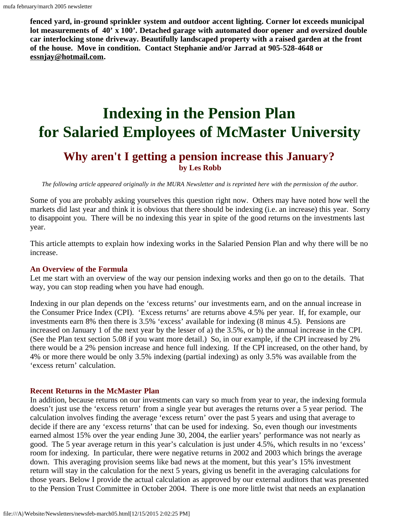**fenced yard, in-ground sprinkler system and outdoor accent lighting. Corner lot exceeds municipal lot measurements of 40' x 100'. Detached garage with automated door opener and oversized double car interlocking stone driveway. Beautifully landscaped property with a raised garden at the front of the house. Move in condition. Contact Stephanie and/or Jarrad at 905-528-4648 or [essnjay@hotmail.com.](mailto:essnjay@hotmail.com)**

# <span id="page-6-0"></span>**Indexing in the Pension Plan for Salaried Employees of McMaster University**

### **Why aren't I getting a pension increase this January? by Les Robb**

*The following article appeared originally in the MURA Newsletter and is reprinted here with the permission of the author.*

Some of you are probably asking yourselves this question right now. Others may have noted how well the markets did last year and think it is obvious that there should be indexing (i.e. an increase) this year. Sorry to disappoint you. There will be no indexing this year in spite of the good returns on the investments last year.

This article attempts to explain how indexing works in the Salaried Pension Plan and why there will be no increase.

#### **An Overview of the Formula**

Let me start with an overview of the way our pension indexing works and then go on to the details. That way, you can stop reading when you have had enough.

Indexing in our plan depends on the 'excess returns' our investments earn, and on the annual increase in the Consumer Price Index (CPI). 'Excess returns' are returns above 4.5% per year. If, for example, our investments earn 8% then there is 3.5% 'excess' available for indexing (8 minus 4.5). Pensions are increased on January 1 of the next year by the lesser of a) the 3.5%, or b) the annual increase in the CPI. (See the Plan text section 5.08 if you want more detail.) So, in our example, if the CPI increased by 2% there would be a 2% pension increase and hence full indexing. If the CPI increased, on the other hand, by 4% or more there would be only 3.5% indexing (partial indexing) as only 3.5% was available from the 'excess return' calculation.

#### **Recent Returns in the McMaster Plan**

In addition, because returns on our investments can vary so much from year to year, the indexing formula doesn't just use the 'excess return' from a single year but averages the returns over a 5 year period. The calculation involves finding the average 'excess return' over the past 5 years and using that average to decide if there are any 'excess returns' that can be used for indexing. So, even though our investments earned almost 15% over the year ending June 30, 2004, the earlier years' performance was not nearly as good. The 5 year average return in this year's calculation is just under 4.5%, which results in no 'excess' room for indexing. In particular, there were negative returns in 2002 and 2003 which brings the average down. This averaging provision seems like bad news at the moment, but this year's 15% investment return will stay in the calculation for the next 5 years, giving us benefit in the averaging calculations for those years. Below I provide the actual calculation as approved by our external auditors that was presented to the Pension Trust Committee in October 2004. There is one more little twist that needs an explanation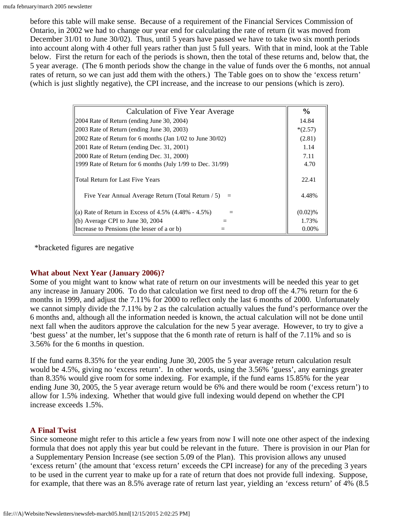before this table will make sense. Because of a requirement of the Financial Services Commission of Ontario, in 2002 we had to change our year end for calculating the rate of return (it was moved from December 31/01 to June 30/02). Thus, until 5 years have passed we have to take two six month periods into account along with 4 other full years rather than just 5 full years. With that in mind, look at the Table below. First the return for each of the periods is shown, then the total of these returns and, below that, the 5 year average. (The 6 month periods show the change in the value of funds over the 6 months, not annual rates of return, so we can just add them with the others.) The Table goes on to show the 'excess return' (which is just slightly negative), the CPI increase, and the increase to our pensions (which is zero).

| Calculation of Five Year Average                                                            | $\frac{6}{9}$  |
|---------------------------------------------------------------------------------------------|----------------|
| 2004 Rate of Return (ending June 30, 2004)                                                  | 14.84          |
| 2003 Rate of Return (ending June 30, 2003)                                                  | $*(2.57)$      |
| $ 2002 \text{ Rate of Return for } 6 \text{ months (Jan } 1/02 \text{ to June } 30/02)$     | (2.81)         |
| 2001 Rate of Return (ending Dec. 31, 2001)                                                  | 1.14           |
| 2000 Rate of Return (ending Dec. 31, 2000)                                                  | 7.11           |
| 1999 Rate of Return for 6 months (July 1/99 to Dec. 31/99)                                  | 4.70           |
| Total Return for Last Five Years<br>Five Year Annual Average Return (Total Return $/ 5$ ) = | 22.41<br>4.48% |
| (a) Rate of Return in Excess of $4.5\%$ (4.48% - 4.5%)                                      | $(0.02)$ %     |
| (b) Average CPI to June 30, 2004                                                            | 1.73%          |
| Increase to Pensions (the lesser of a or b)                                                 | $0.00\%$       |

\*bracketed figures are negative

#### **What about Next Year (January 2006)?**

Some of you might want to know what rate of return on our investments will be needed this year to get any increase in January 2006. To do that calculation we first need to drop off the 4.7% return for the 6 months in 1999, and adjust the 7.11% for 2000 to reflect only the last 6 months of 2000. Unfortunately we cannot simply divide the 7.11% by 2 as the calculation actually values the fund's performance over the 6 months and, although all the information needed is known, the actual calculation will not be done until next fall when the auditors approve the calculation for the new 5 year average. However, to try to give a 'best guess' at the number, let's suppose that the 6 month rate of return is half of the 7.11% and so is 3.56% for the 6 months in question.

If the fund earns 8.35% for the year ending June 30, 2005 the 5 year average return calculation result would be 4.5%, giving no 'excess return'. In other words, using the 3.56% 'guess', any earnings greater than 8.35% would give room for some indexing. For example, if the fund earns 15.85% for the year ending June 30, 2005, the 5 year average return would be 6% and there would be room ('excess return') to allow for 1.5% indexing. Whether that would give full indexing would depend on whether the CPI increase exceeds 1.5%.

#### **A Final Twist**

Since someone might refer to this article a few years from now I will note one other aspect of the indexing formula that does not apply this year but could be relevant in the future. There is provision in our Plan for a Supplementary Pension Increase (see section 5.09 of the Plan). This provision allows any unused 'excess return' (the amount that 'excess return' exceeds the CPI increase) for any of the preceding 3 years to be used in the current year to make up for a rate of return that does not provide full indexing. Suppose, for example, that there was an 8.5% average rate of return last year, yielding an 'excess return' of 4% (8.5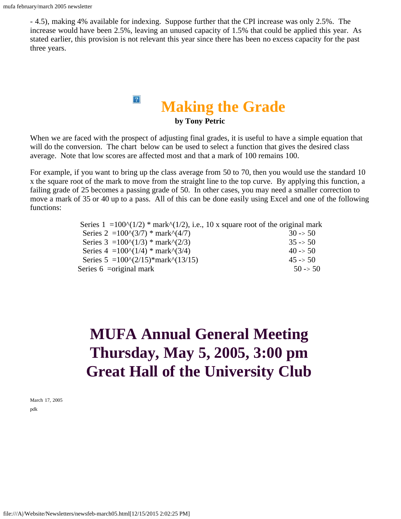- 4.5), making 4% available for indexing. Suppose further that the CPI increase was only 2.5%. The increase would have been 2.5%, leaving an unused capacity of 1.5% that could be applied this year. As stated earlier, this provision is not relevant this year since there has been no excess capacity for the past three years.

### $|2\rangle$ **Making the Grade by Tony Petric**

<span id="page-8-0"></span>When we are faced with the prospect of adjusting final grades, it is useful to have a simple equation that will do the conversion. The chart below can be used to select a function that gives the desired class average. Note that low scores are affected most and that a mark of 100 remains 100.

For example, if you want to bring up the class average from 50 to 70, then you would use the standard 10 x the square root of the mark to move from the straight line to the top curve. By applying this function, a failing grade of 25 becomes a passing grade of 50. In other cases, you may need a smaller correction to move a mark of 35 or 40 up to a pass. All of this can be done easily using Excel and one of the following functions:

| Series $1 = 100^{\circ} (1/2)$ * mark $^{\circ} (1/2)$ , i.e., 10 x square root of the original mark |                     |
|------------------------------------------------------------------------------------------------------|---------------------|
| Series 2 = $100^{\circ}(3/7)$ * mark $\frac{\circ}{4/7}$                                             | $30 \rightarrow 50$ |
| Series $3 = 100^{\circ}(1/3)$ * mark $^{0}(2/3)$                                                     | $35 \rightarrow 50$ |
| Series $4 = 100^{\circ} (1/4)$ * mark $^{0}(3/4)$                                                    | $40 \rightarrow 50$ |
| Series $5 = 100^{\circ} (2/15)$ *mark $\frac{\circ}{13/15}$                                          | $45 \rightarrow 50$ |
| Series $6 = original$ mark                                                                           | $50 \rightarrow 50$ |
|                                                                                                      |                     |

# <span id="page-8-1"></span>**MUFA Annual General Meeting Thursday, May 5, 2005, 3:00 pm Great Hall of the University Club**

March 17, 2005 pdk